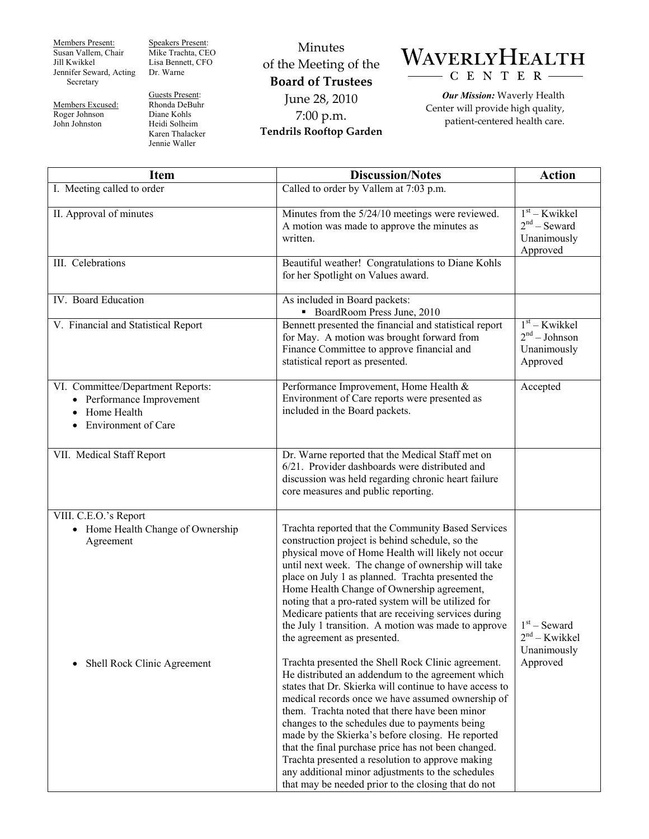Members Present: Susan Vallem, Chair Jill Kwikkel Jennifer Seward, Acting Secretary

Members Excused: Roger Johnson John Johnston

Speakers Present: Mike Trachta, CEO Lisa Bennett, CFO Dr. Warne

Guests Present: Rhonda DeBuhr Diane Kohls Heidi Solheim Karen Thalacker Jennie Waller

Minutes of the Meeting of the **Board of Trustees**  June 28, 2010 7:00 p.m. **Tendrils Rooftop Garden** 



*Our Mission:* Waverly Health Center will provide high quality, patient-centered health care.

| Item                                                                                                        | <b>Discussion/Notes</b>                                                                                                                                                                                                                                                                                                                                                                                                                                                                                                                                                                                                                                                                                                                                                                                                                                                                                                                                                                                                                                                                                                              | <b>Action</b>                                                 |
|-------------------------------------------------------------------------------------------------------------|--------------------------------------------------------------------------------------------------------------------------------------------------------------------------------------------------------------------------------------------------------------------------------------------------------------------------------------------------------------------------------------------------------------------------------------------------------------------------------------------------------------------------------------------------------------------------------------------------------------------------------------------------------------------------------------------------------------------------------------------------------------------------------------------------------------------------------------------------------------------------------------------------------------------------------------------------------------------------------------------------------------------------------------------------------------------------------------------------------------------------------------|---------------------------------------------------------------|
| I. Meeting called to order                                                                                  | Called to order by Vallem at 7:03 p.m.                                                                                                                                                                                                                                                                                                                                                                                                                                                                                                                                                                                                                                                                                                                                                                                                                                                                                                                                                                                                                                                                                               |                                                               |
| II. Approval of minutes                                                                                     | Minutes from the 5/24/10 meetings were reviewed.<br>A motion was made to approve the minutes as<br>written.                                                                                                                                                                                                                                                                                                                                                                                                                                                                                                                                                                                                                                                                                                                                                                                                                                                                                                                                                                                                                          | $1st - Kwikkel$<br>$2nd$ – Seward<br>Unanimously<br>Approved  |
| III. Celebrations                                                                                           | Beautiful weather! Congratulations to Diane Kohls<br>for her Spotlight on Values award.                                                                                                                                                                                                                                                                                                                                                                                                                                                                                                                                                                                                                                                                                                                                                                                                                                                                                                                                                                                                                                              |                                                               |
| IV. Board Education                                                                                         | As included in Board packets:<br>• BoardRoom Press June, 2010                                                                                                                                                                                                                                                                                                                                                                                                                                                                                                                                                                                                                                                                                                                                                                                                                                                                                                                                                                                                                                                                        |                                                               |
| V. Financial and Statistical Report                                                                         | Bennett presented the financial and statistical report<br>for May. A motion was brought forward from<br>Finance Committee to approve financial and<br>statistical report as presented.                                                                                                                                                                                                                                                                                                                                                                                                                                                                                                                                                                                                                                                                                                                                                                                                                                                                                                                                               | $1st - Kwikkel$<br>$2nd - Johnson$<br>Unanimously<br>Approved |
| VI. Committee/Department Reports:<br>• Performance Improvement<br>Home Health<br><b>Environment of Care</b> | Performance Improvement, Home Health &<br>Environment of Care reports were presented as<br>included in the Board packets.                                                                                                                                                                                                                                                                                                                                                                                                                                                                                                                                                                                                                                                                                                                                                                                                                                                                                                                                                                                                            | Accepted                                                      |
| VII. Medical Staff Report                                                                                   | Dr. Warne reported that the Medical Staff met on<br>6/21. Provider dashboards were distributed and<br>discussion was held regarding chronic heart failure<br>core measures and public reporting.                                                                                                                                                                                                                                                                                                                                                                                                                                                                                                                                                                                                                                                                                                                                                                                                                                                                                                                                     |                                                               |
| VIII. C.E.O.'s Report<br>• Home Health Change of Ownership<br>Agreement<br>Shell Rock Clinic Agreement      | Trachta reported that the Community Based Services<br>construction project is behind schedule, so the<br>physical move of Home Health will likely not occur<br>until next week. The change of ownership will take<br>place on July 1 as planned. Trachta presented the<br>Home Health Change of Ownership agreement,<br>noting that a pro-rated system will be utilized for<br>Medicare patients that are receiving services during<br>the July 1 transition. A motion was made to approve<br>the agreement as presented.<br>Trachta presented the Shell Rock Clinic agreement.<br>He distributed an addendum to the agreement which<br>states that Dr. Skierka will continue to have access to<br>medical records once we have assumed ownership of<br>them. Trachta noted that there have been minor<br>changes to the schedules due to payments being<br>made by the Skierka's before closing. He reported<br>that the final purchase price has not been changed.<br>Trachta presented a resolution to approve making<br>any additional minor adjustments to the schedules<br>that may be needed prior to the closing that do not | $1st$ – Seward<br>$2nd - Kwikkel$<br>Unanimously<br>Approved  |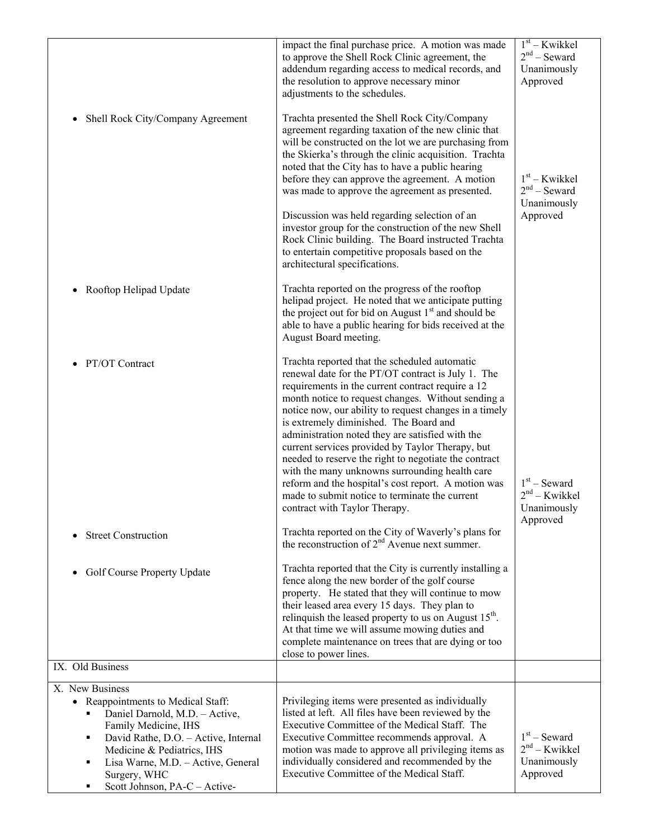|                                                                                                                                                                                                                                                                                   | impact the final purchase price. A motion was made<br>to approve the Shell Rock Clinic agreement, the<br>addendum regarding access to medical records, and<br>the resolution to approve necessary minor<br>adjustments to the schedules.                                                                                                                                                                                                                                                                                                                                                                                                                                        | $1st - Kwikkel$<br>$2nd$ – Seward<br>Unanimously<br>Approved |
|-----------------------------------------------------------------------------------------------------------------------------------------------------------------------------------------------------------------------------------------------------------------------------------|---------------------------------------------------------------------------------------------------------------------------------------------------------------------------------------------------------------------------------------------------------------------------------------------------------------------------------------------------------------------------------------------------------------------------------------------------------------------------------------------------------------------------------------------------------------------------------------------------------------------------------------------------------------------------------|--------------------------------------------------------------|
| Shell Rock City/Company Agreement                                                                                                                                                                                                                                                 | Trachta presented the Shell Rock City/Company<br>agreement regarding taxation of the new clinic that<br>will be constructed on the lot we are purchasing from<br>the Skierka's through the clinic acquisition. Trachta<br>noted that the City has to have a public hearing<br>before they can approve the agreement. A motion<br>was made to approve the agreement as presented.<br>Discussion was held regarding selection of an<br>investor group for the construction of the new Shell<br>Rock Clinic building. The Board instructed Trachta<br>to entertain competitive proposals based on the<br>architectural specifications.                                             | $1st$ – Kwikkel<br>$2nd$ – Seward<br>Unanimously<br>Approved |
| Rooftop Helipad Update                                                                                                                                                                                                                                                            | Trachta reported on the progress of the rooftop<br>helipad project. He noted that we anticipate putting<br>the project out for bid on August $1st$ and should be<br>able to have a public hearing for bids received at the<br>August Board meeting.                                                                                                                                                                                                                                                                                                                                                                                                                             |                                                              |
| PT/OT Contract                                                                                                                                                                                                                                                                    | Trachta reported that the scheduled automatic<br>renewal date for the PT/OT contract is July 1. The<br>requirements in the current contract require a 12<br>month notice to request changes. Without sending a<br>notice now, our ability to request changes in a timely<br>is extremely diminished. The Board and<br>administration noted they are satisfied with the<br>current services provided by Taylor Therapy, but<br>needed to reserve the right to negotiate the contract<br>with the many unknowns surrounding health care<br>reform and the hospital's cost report. A motion was<br>made to submit notice to terminate the current<br>contract with Taylor Therapy. | $1st$ – Seward<br>$2nd - Kwikkel$<br>Unanimously<br>Approved |
| <b>Street Construction</b>                                                                                                                                                                                                                                                        | Trachta reported on the City of Waverly's plans for<br>the reconstruction of $2nd$ Avenue next summer.                                                                                                                                                                                                                                                                                                                                                                                                                                                                                                                                                                          |                                                              |
| Golf Course Property Update                                                                                                                                                                                                                                                       | Trachta reported that the City is currently installing a<br>fence along the new border of the golf course<br>property. He stated that they will continue to mow<br>their leased area every 15 days. They plan to<br>relinquish the leased property to us on August $15^{th}$ .<br>At that time we will assume mowing duties and<br>complete maintenance on trees that are dying or too<br>close to power lines.                                                                                                                                                                                                                                                                 |                                                              |
| IX. Old Business                                                                                                                                                                                                                                                                  |                                                                                                                                                                                                                                                                                                                                                                                                                                                                                                                                                                                                                                                                                 |                                                              |
| X. New Business<br>• Reappointments to Medical Staff:<br>Daniel Darnold, M.D. - Active,<br>Family Medicine, IHS<br>David Rathe, D.O. - Active, Internal<br>Medicine & Pediatrics, IHS<br>Lisa Warne, M.D. - Active, General<br>٠<br>Surgery, WHC<br>Scott Johnson, PA-C - Active- | Privileging items were presented as individually<br>listed at left. All files have been reviewed by the<br>Executive Committee of the Medical Staff. The<br>Executive Committee recommends approval. A<br>motion was made to approve all privileging items as<br>individually considered and recommended by the<br>Executive Committee of the Medical Staff.                                                                                                                                                                                                                                                                                                                    | $1st$ – Seward<br>$2nd - Kwikkel$<br>Unanimously<br>Approved |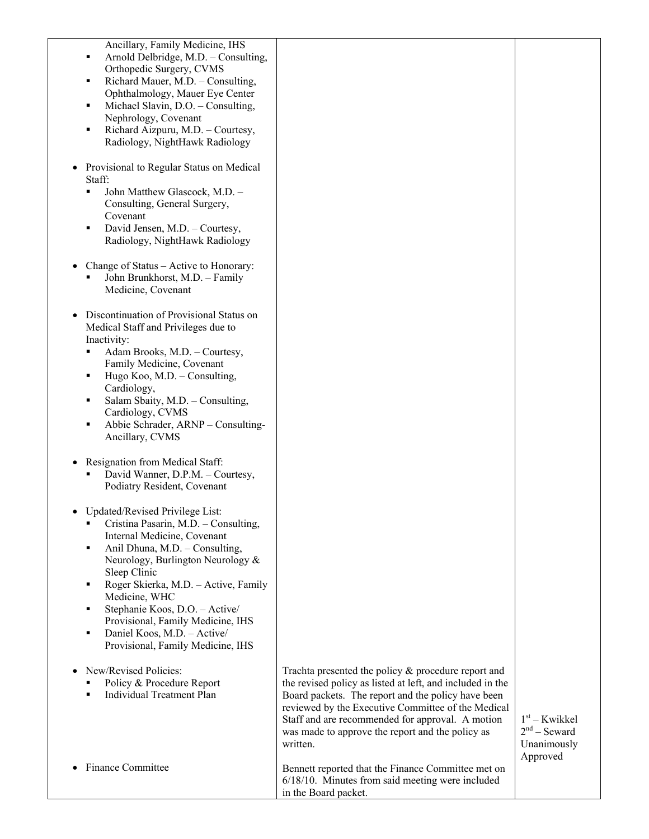| Ancillary, Family Medicine, IHS<br>Arnold Delbridge, M.D. - Consulting,<br>٠<br>Orthopedic Surgery, CVMS<br>Richard Mauer, M.D. - Consulting,<br>٠<br>Ophthalmology, Mauer Eye Center<br>Michael Slavin, D.O. - Consulting,<br>٠<br>Nephrology, Covenant<br>Richard Aizpuru, M.D. - Courtesy,<br>٠<br>Radiology, NightHawk Radiology<br>Provisional to Regular Status on Medical<br>Staff:<br>John Matthew Glascock, M.D. -<br>٠<br>Consulting, General Surgery,<br>Covenant<br>David Jensen, M.D. - Courtesy,<br>٠<br>Radiology, NightHawk Radiology<br>Change of Status - Active to Honorary:<br>John Brunkhorst, M.D. - Family<br>Medicine, Covenant<br>Discontinuation of Provisional Status on<br>Medical Staff and Privileges due to<br>Inactivity:<br>Adam Brooks, M.D. - Courtesy,<br>Family Medicine, Covenant<br>Hugo Koo, M.D. - Consulting,<br>٠<br>Cardiology,<br>Salam Sbaity, M.D. - Consulting,<br>٠<br>Cardiology, CVMS<br>Abbie Schrader, ARNP - Consulting-<br>٠<br>Ancillary, CVMS<br>Resignation from Medical Staff:<br>David Wanner, D.P.M. - Courtesy, |                                                                                                                                                                                                                                                                                                                                                     |                                                              |
|-------------------------------------------------------------------------------------------------------------------------------------------------------------------------------------------------------------------------------------------------------------------------------------------------------------------------------------------------------------------------------------------------------------------------------------------------------------------------------------------------------------------------------------------------------------------------------------------------------------------------------------------------------------------------------------------------------------------------------------------------------------------------------------------------------------------------------------------------------------------------------------------------------------------------------------------------------------------------------------------------------------------------------------------------------------------------------|-----------------------------------------------------------------------------------------------------------------------------------------------------------------------------------------------------------------------------------------------------------------------------------------------------------------------------------------------------|--------------------------------------------------------------|
| Podiatry Resident, Covenant<br>Updated/Revised Privilege List:<br>Cristina Pasarin, M.D. - Consulting,<br>Internal Medicine, Covenant<br>Anil Dhuna, M.D. - Consulting,<br>٠<br>Neurology, Burlington Neurology &<br>Sleep Clinic<br>Roger Skierka, M.D. - Active, Family<br>٠<br>Medicine, WHC<br>Stephanie Koos, D.O. - Active/<br>٠<br>Provisional, Family Medicine, IHS<br>Daniel Koos, M.D. - Active/<br>٠<br>Provisional, Family Medicine, IHS                                                                                                                                                                                                                                                                                                                                                                                                                                                                                                                                                                                                                          |                                                                                                                                                                                                                                                                                                                                                     |                                                              |
| New/Revised Policies:<br>Policy & Procedure Report<br><b>Individual Treatment Plan</b><br>٠                                                                                                                                                                                                                                                                                                                                                                                                                                                                                                                                                                                                                                                                                                                                                                                                                                                                                                                                                                                   | Trachta presented the policy $\&$ procedure report and<br>the revised policy as listed at left, and included in the<br>Board packets. The report and the policy have been<br>reviewed by the Executive Committee of the Medical<br>Staff and are recommended for approval. A motion<br>was made to approve the report and the policy as<br>written. | $1st$ – Kwikkel<br>$2nd$ – Seward<br>Unanimously<br>Approved |
| <b>Finance Committee</b>                                                                                                                                                                                                                                                                                                                                                                                                                                                                                                                                                                                                                                                                                                                                                                                                                                                                                                                                                                                                                                                      | Bennett reported that the Finance Committee met on<br>$6/18/10$ . Minutes from said meeting were included<br>in the Board packet.                                                                                                                                                                                                                   |                                                              |